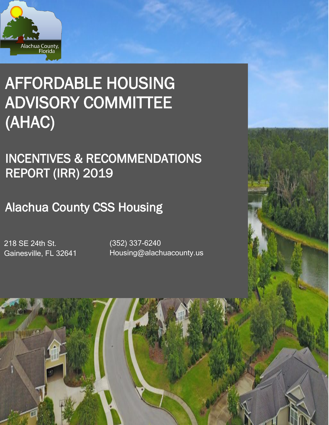

# AFFORDABLE HOUSING ADVISORY COMMITTEE (AHAC)

INCENTIVES & RECOMMENDATIONS REPORT (IRR) 2019

Alachua County CSS Housing

218 SE 24th St. Gainesville, FL 32641

(352) 337-6240 Housing@alachuacounty.us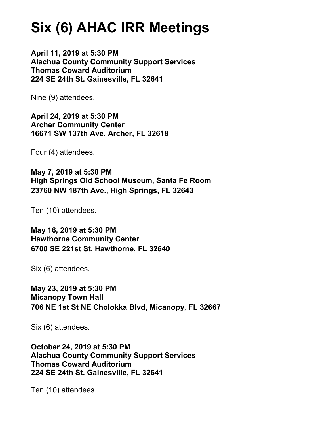## **Six (6) AHAC IRR Meetings**

**April 11, 2019 at 5:30 PM Alachua County Community Support Services Thomas Coward Auditorium 224 SE 24th St. Gainesville, FL 32641**

Nine (9) attendees.

**April 24, 2019 at 5:30 PM Archer Community Center 16671 SW 137th Ave. Archer, FL 32618**

Four (4) attendees.

**May 7, 2019 at 5:30 PM High Springs Old School Museum, Santa Fe Room 23760 NW 187th Ave., High Springs, FL 32643**

Ten (10) attendees.

**May 16, 2019 at 5:30 PM Hawthorne Community Center 6700 SE 221st St. Hawthorne, FL 32640**

Six (6) attendees.

**May 23, 2019 at 5:30 PM Micanopy Town Hall 706 NE 1st St NE Cholokka Blvd, Micanopy, FL 32667**

Six (6) attendees.

**October 24, 2019 at 5:30 PM Alachua County Community Support Services Thomas Coward Auditorium 224 SE 24th St. Gainesville, FL 32641**

Ten (10) attendees.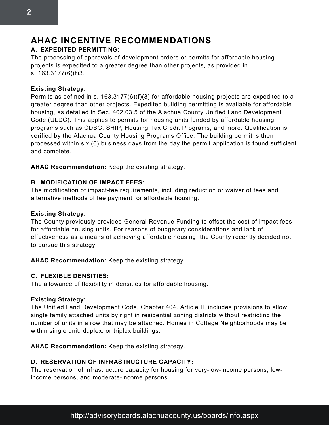## **AHAC INCENTIVE RECOMMENDATIONS**

## **A. EXPEDITED PERMITTING:**

The processing of approvals of development orders or permits for affordable housing projects is expedited to a greater degree than other projects, as provided in s. [163.3177\(](http://www.leg.state.fl.us/Statutes/index.cfm?App_mode=Display_Statute&Search_String=&URL=0100-0199/0163/Sections/0163.3177.html)6)(f)3.

## **Existing Strategy:**

Permits as defined in s. 163.3177(6)(f)(3) for affordable housing projects are expedited to a greater degree than other projects. Expedited building permitting is available for affordable housing, as detailed in Sec. 402.03.5 of the Alachua County Unified Land Development Code (ULDC). This applies to permits for housing units funded by affordable housing programs such as CDBG, SHIP, Housing Tax Credit Programs, and more. Qualification is verified by the Alachua County Housing Programs Office. The building permit is then processed within six (6) business days from the day the permit application is found sufficient and complete.

**AHAC Recommendation:** Keep the existing strategy.

## **B. MODIFICATION OF IMPACT FEES:**

The modification of impact-fee requirements, including reduction or waiver of fees and alternative methods of fee payment for affordable housing.

## **Existing Strategy:**

The County previously provided General Revenue Funding to offset the cost of impact fees for affordable housing units. For reasons of budgetary considerations and lack of effectiveness as a means of achieving affordable housing, the County recently decided not to pursue this strategy.

**AHAC Recommendation:** Keep the existing strategy.

## **C. FLEXIBLE DENSITIES:**

The allowance of flexibility in densities for affordable housing.

## **Existing Strategy:**

The Unified Land Development Code, Chapter 404. Article II, includes provisions to allow single family attached units by right in residential zoning districts without restricting the number of units in a row that may be attached. Homes in Cottage Neighborhoods may be within single unit, duplex, or triplex buildings.

**AHAC Recommendation:** Keep the existing strategy.

## **D. RESERVATION OF INFRASTRUCTURE CAPACITY:**

The reservation of infrastructure capacity for housing for very-low-income persons, lowincome persons, and moderate-income persons.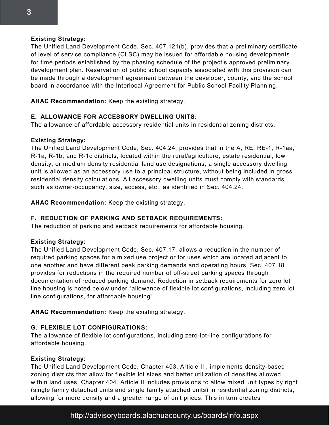#### **Existing Strategy:**

The Unified Land Development Code, Sec. 407.121(b), provides that a preliminary certificate of level of service compliance (CLSC) may be issued for affordable housing developments for time periods established by the phasing schedule of the project's approved preliminary development plan. Reservation of public school capacity associated with this provision can be made through a development agreement between the developer, county, and the school board in accordance with the Interlocal Agreement for Public School Facility Planning.

**AHAC Recommendation:** Keep the existing strategy.

## **E. ALLOWANCE FOR ACCESSORY DWELLING UNITS:**

The allowance of affordable accessory residential units in residential zoning districts.

## **Existing Strategy:**

The Unified Land Development Code, Sec. 404.24, provides that in the A, RE, RE-1, R-1aa, R-1a, R-1b, and R-1c districts, located within the rural/agriculture, estate residential, low density, or medium density residential land use designations, a single accessory dwelling unit is allowed as an accessory use to a principal structure, without being included in gross residential density calculations. All accessory dwelling units must comply with standards such as owner-occupancy, size, access, etc., as identified in Sec. 404.24.

**AHAC Recommendation:** Keep the existing strategy.

## **F. REDUCTION OF PARKING AND SETBACK REQUIREMENTS:**

The reduction of parking and setback requirements for affordable housing.

## **Existing Strategy:**

The Unified Land Development Code, Sec. 407.17, allows a reduction in the number of required parking spaces for a mixed use project or for uses which are located adjacent to one another and have different peak parking demands and operating hours. Sec. 407.18 provides for reductions in the required number of off-street parking spaces through documentation of reduced parking demand. Reduction in setback requirements for zero lot line housing is noted below under "allowance of flexible lot configurations, including zero lot line configurations, for affordable housing".

**AHAC Recommendation:** Keep the existing strategy.

## **G. FLEXIBLE LOT CONFIGURATIONS:**

The allowance of flexible lot configurations, including zero-lot-line configurations for affordable housing.

## **Existing Strategy:**

The Unified Land Development Code, Chapter 403. Article III, implements density-based zoning districts that allow for flexible lot sizes and better utilization of densities allowed within land uses. Chapter 404. Article II includes provisions to allow mixed unit types by right (single family detached units and single family attached units) in residential zoning districts, allowing for more density and a greater range of unit prices. This in turn creates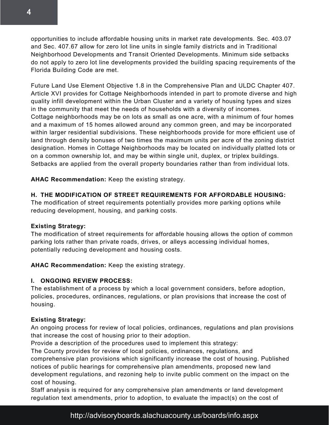opportunities to include affordable housing units in market rate developments. Sec. 403.07 and Sec. 407.67 allow for zero lot line units in single family districts and in Traditional Neighborhood Developments and Transit Oriented Developments. Minimum side setbacks do not apply to zero lot line developments provided the building spacing requirements of the Florida Building Code are met.

Future Land Use Element Objective 1.8 in the Comprehensive Plan and ULDC Chapter 407. Article XVI provides for Cottage Neighborhoods intended in part to promote diverse and high quality infill development within the Urban Cluster and a variety of housing types and sizes in the community that meet the needs of households with a diversity of incomes. Cottage neighborhoods may be on lots as small as one acre, with a minimum of four homes and a maximum of 15 homes allowed around any common green, and may be incorporated within larger residential subdivisions. These neighborhoods provide for more efficient use of land through density bonuses of two times the maximum units per acre of the zoning district designation. Homes in Cottage Neighborhoods may be located on individually platted lots or on a common ownership lot, and may be within single unit, duplex, or triplex buildings. Setbacks are applied from the overall property boundaries rather than from individual lots.

**AHAC Recommendation:** Keep the existing strategy.

## **H. THE MODIFICATION OF STREET REQUIREMENTS FOR AFFORDABLE HOUSING:**

The modification of street requirements potentially provides more parking options while reducing development, housing, and parking costs.

## **Existing Strategy:**

The modification of street requirements for affordable housing allows the option of common parking lots rather than private roads, drives, or alleys accessing individual homes, potentially reducing development and housing costs.

**AHAC Recommendation:** Keep the existing strategy.

## **I. ONGOING REVIEW PROCESS:**

The establishment of a process by which a local government considers, before adoption, policies, procedures, ordinances, regulations, or plan provisions that increase the cost of housing.

## **Existing Strategy:**

An ongoing process for review of local policies, ordinances, regulations and plan provisions that increase the cost of housing prior to their adoption.

Provide a description of the procedures used to implement this strategy:

The County provides for review of local policies, ordinances, regulations, and

comprehensive plan provisions which significantly increase the cost of housing. Published notices of public hearings for comprehensive plan amendments, proposed new land development regulations, and rezoning help to invite public comment on the impact on the cost of housing.

Staff analysis is required for any comprehensive plan amendments or land development regulation text amendments, prior to adoption, to evaluate the impact(s) on the cost of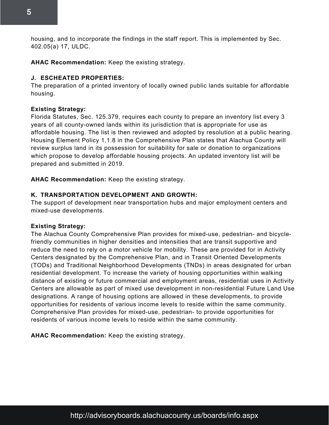housing, and to incorporate the findings in the staff report. This is implemented by Sec. 402.05(a) 17, ULDC.

**AHAC Recommendation:** Keep the existing strategy.

#### **J. ESCHEATED PROPERTIES:**

The preparation of a printed inventory of locally owned public lands suitable for affordable housing.

#### **Existing Strategy:**

Florida Statutes, Sec. 125.379, requires each county to prepare an inventory list every 3 years of all county-owned lands within its jurisdiction that is appropriate for use as affordable housing. The list is then reviewed and adopted by resolution at a public hearing. Housing Element Policy 1.1.8 in the Comprehensive Plan states that Alachua County will review surplus land in its possession for suitability for sale or donation to organizations which propose to develop affordable housing projects. An updated inventory list will be prepared and submitted in 2019.

**AHAC Recommendation:** Keep the existing strategy.

#### **K. TRANSPORTATION DEVELOPMENT AND GROWTH:**

The support of development near transportation hubs and major employment centers and mixed-use developments.

#### **Existing Strategy:**

The Alachua County Comprehensive Plan provides for mixed-use, pedestrian- and bicyclefriendly communities in higher densities and intensities that are transit supportive and reduce the need to rely on a motor vehicle for mobility. These are provided for in Activity Centers designated by the Comprehensive Plan, and in Transit Oriented Developments (TODs) and Traditional Neighborhood Developments (TNDs) in areas designated for urban residential development. To increase the variety of housing opportunities within walking distance of existing or future commercial and employment areas, residential uses in Activity Centers are allowable as part of mixed use development in non-residential Future Land Use designations. A range of housing options are allowed in these developments, to provide opportunities for residents of various income levels to reside within the same community. Comprehensive Plan provides for mixed-use, pedestrian- to provide opportunities for residents of various income levels to reside within the same community.

**AHAC Recommendation:** Keep the existing strategy.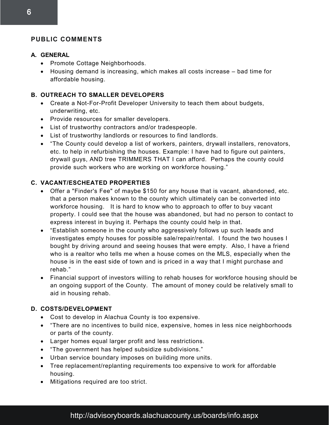## **PUBLIC COMMENTS**

#### **A. GENERAL**

- Promote Cottage Neighborhoods.
- Housing demand is increasing, which makes all costs increase bad time for affordable housing.

## **B. OUTREACH TO SMALLER DEVELOPERS**

- Create a Not-For-Profit Developer University to teach them about budgets, underwriting, etc.
- Provide resources for smaller developers.
- List of trustworthy contractors and/or tradespeople.
- List of trustworthy landlords or resources to find landlords.
- "The County could develop a list of workers, painters, drywall installers, renovators, etc. to help in refurbishing the houses. Example: I have had to figure out painters, drywall guys, AND tree TRIMMERS THAT I can afford. Perhaps the county could provide such workers who are working on workforce housing."

## **C. VACANT/ESCHEATED PROPERTIES**

- Offer a "Finder's Fee" of maybe \$150 for any house that is vacant, abandoned, etc. that a person makes known to the county which ultimately can be converted into workforce housing. It is hard to know who to approach to offer to buy vacant property. I could see that the house was abandoned, but had no person to contact to express interest in buying it. Perhaps the county could help in that.
- "Establish someone in the county who aggressively follows up such leads and investigates empty houses for possible sale/repair/rental. I found the two houses I bought by driving around and seeing houses that were empty. Also, I have a friend who is a realtor who tells me when a house comes on the MLS, especially when the house is in the east side of town and is priced in a way that I might purchase and rehab."
- Financial support of investors willing to rehab houses for workforce housing should be an ongoing support of the County. The amount of money could be relatively small to aid in housing rehab.

## **D. COSTS/DEVELOPMENT**

- Cost to develop in Alachua County is too expensive.
- "There are no incentives to build nice, expensive, homes in less nice neighborhoods or parts of the county.
- Larger homes equal larger profit and less restrictions.
- "The government has helped subsidize subdivisions."
- Urban service boundary imposes on building more units.
- Tree replacement/replanting requirements too expensive to work for affordable housing.
- Mitigations required are too strict.